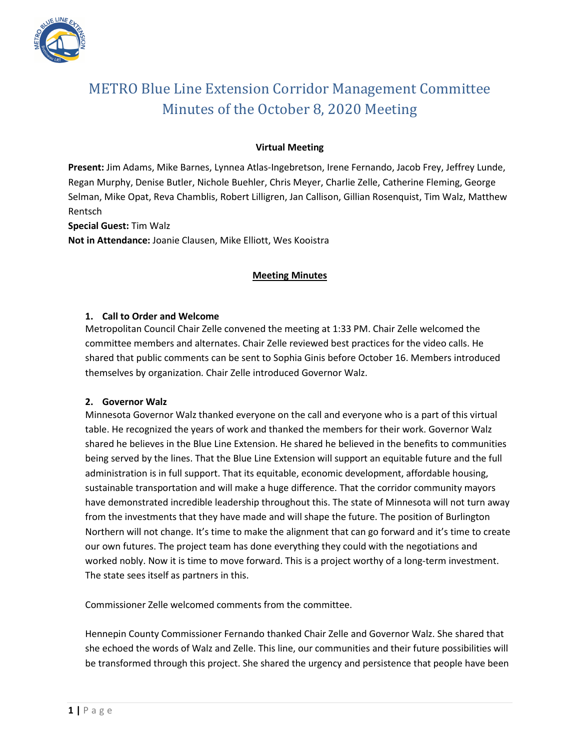

# METRO Blue Line Extension Corridor Management Committee Minutes of the October 8, 2020 Meeting

# **Virtual Meeting**

**Present:** Jim Adams, Mike Barnes, Lynnea Atlas-Ingebretson, Irene Fernando, Jacob Frey, Jeffrey Lunde, Regan Murphy, Denise Butler, Nichole Buehler, Chris Meyer, Charlie Zelle, Catherine Fleming, George Selman, Mike Opat, Reva Chamblis, Robert Lilligren, Jan Callison, Gillian Rosenquist, Tim Walz, Matthew Rentsch

**Special Guest:** Tim Walz

**Not in Attendance:** Joanie Clausen, Mike Elliott, Wes Kooistra

# **Meeting Minutes**

# **1. Call to Order and Welcome**

Metropolitan Council Chair Zelle convened the meeting at 1:33 PM. Chair Zelle welcomed the committee members and alternates. Chair Zelle reviewed best practices for the video calls. He shared that public comments can be sent to Sophia Ginis before October 16. Members introduced themselves by organization. Chair Zelle introduced Governor Walz.

# **2. Governor Walz**

Minnesota Governor Walz thanked everyone on the call and everyone who is a part of this virtual table. He recognized the years of work and thanked the members for their work. Governor Walz shared he believes in the Blue Line Extension. He shared he believed in the benefits to communities being served by the lines. That the Blue Line Extension will support an equitable future and the full administration is in full support. That its equitable, economic development, affordable housing, sustainable transportation and will make a huge difference. That the corridor community mayors have demonstrated incredible leadership throughout this. The state of Minnesota will not turn away from the investments that they have made and will shape the future. The position of Burlington Northern will not change. It's time to make the alignment that can go forward and it's time to create our own futures. The project team has done everything they could with the negotiations and worked nobly. Now it is time to move forward. This is a project worthy of a long-term investment. The state sees itself as partners in this.

Commissioner Zelle welcomed comments from the committee.

Hennepin County Commissioner Fernando thanked Chair Zelle and Governor Walz. She shared that she echoed the words of Walz and Zelle. This line, our communities and their future possibilities will be transformed through this project. She shared the urgency and persistence that people have been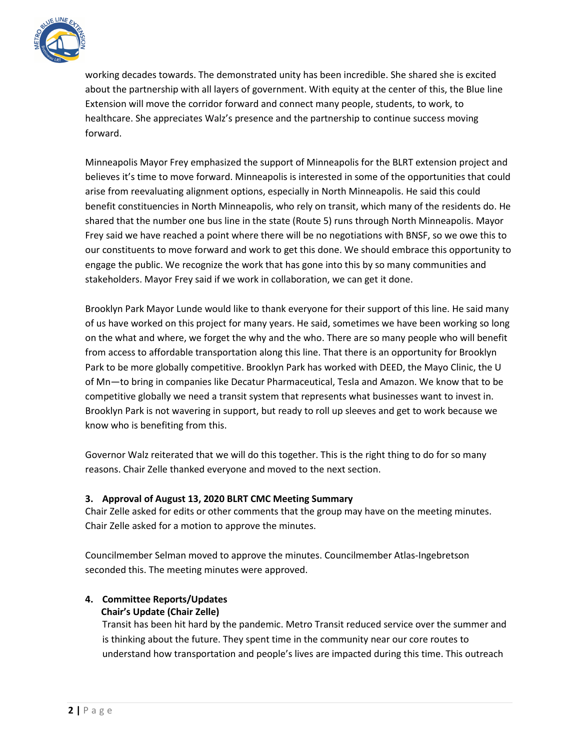

working decades towards. The demonstrated unity has been incredible. She shared she is excited about the partnership with all layers of government. With equity at the center of this, the Blue line Extension will move the corridor forward and connect many people, students, to work, to healthcare. She appreciates Walz's presence and the partnership to continue success moving forward.

Minneapolis Mayor Frey emphasized the support of Minneapolis for the BLRT extension project and believes it's time to move forward. Minneapolis is interested in some of the opportunities that could arise from reevaluating alignment options, especially in North Minneapolis. He said this could benefit constituencies in North Minneapolis, who rely on transit, which many of the residents do. He shared that the number one bus line in the state (Route 5) runs through North Minneapolis. Mayor Frey said we have reached a point where there will be no negotiations with BNSF, so we owe this to our constituents to move forward and work to get this done. We should embrace this opportunity to engage the public. We recognize the work that has gone into this by so many communities and stakeholders. Mayor Frey said if we work in collaboration, we can get it done.

Brooklyn Park Mayor Lunde would like to thank everyone for their support of this line. He said many of us have worked on this project for many years. He said, sometimes we have been working so long on the what and where, we forget the why and the who. There are so many people who will benefit from access to affordable transportation along this line. That there is an opportunity for Brooklyn Park to be more globally competitive. Brooklyn Park has worked with DEED, the Mayo Clinic, the U of Mn—to bring in companies like Decatur Pharmaceutical, Tesla and Amazon. We know that to be competitive globally we need a transit system that represents what businesses want to invest in. Brooklyn Park is not wavering in support, but ready to roll up sleeves and get to work because we know who is benefiting from this.

Governor Walz reiterated that we will do this together. This is the right thing to do for so many reasons. Chair Zelle thanked everyone and moved to the next section.

# **3. Approval of August 13, 2020 BLRT CMC Meeting Summary**

Chair Zelle asked for edits or other comments that the group may have on the meeting minutes. Chair Zelle asked for a motion to approve the minutes.

Councilmember Selman moved to approve the minutes. Councilmember Atlas-Ingebretson seconded this. The meeting minutes were approved.

# **4. Committee Reports/Updates Chair's Update (Chair Zelle)**

Transit has been hit hard by the pandemic. Metro Transit reduced service over the summer and is thinking about the future. They spent time in the community near our core routes to understand how transportation and people's lives are impacted during this time. This outreach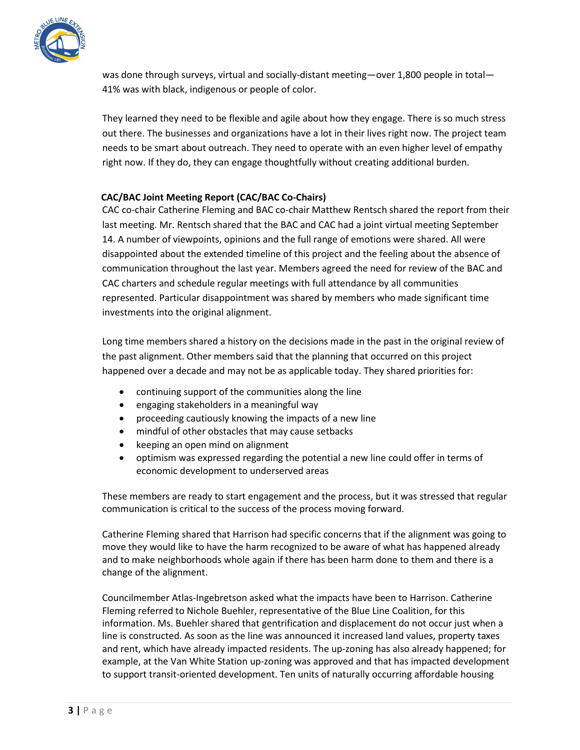

was done through surveys, virtual and socially-distant meeting—over 1,800 people in total— 41% was with black, indigenous or people of color.

They learned they need to be flexible and agile about how they engage. There is so much stress out there. The businesses and organizations have a lot in their lives right now. The project team needs to be smart about outreach. They need to operate with an even higher level of empathy right now. If they do, they can engage thoughtfully without creating additional burden.

# **CAC/BAC Joint Meeting Report (CAC/BAC Co-Chairs)**

CAC co-chair Catherine Fleming and BAC co-chair Matthew Rentsch shared the report from their last meeting. Mr. Rentsch shared that the BAC and CAC had a joint virtual meeting September 14. A number of viewpoints, opinions and the full range of emotions were shared. All were disappointed about the extended timeline of this project and the feeling about the absence of communication throughout the last year. Members agreed the need for review of the BAC and CAC charters and schedule regular meetings with full attendance by all communities represented. Particular disappointment was shared by members who made significant time investments into the original alignment.

Long time members shared a history on the decisions made in the past in the original review of the past alignment. Other members said that the planning that occurred on this project happened over a decade and may not be as applicable today. They shared priorities for:

- continuing support of the communities along the line
- engaging stakeholders in a meaningful way
- proceeding cautiously knowing the impacts of a new line
- mindful of other obstacles that may cause setbacks
- keeping an open mind on alignment
- optimism was expressed regarding the potential a new line could offer in terms of economic development to underserved areas

These members are ready to start engagement and the process, but it was stressed that regular communication is critical to the success of the process moving forward.

Catherine Fleming shared that Harrison had specific concerns that if the alignment was going to move they would like to have the harm recognized to be aware of what has happened already and to make neighborhoods whole again if there has been harm done to them and there is a change of the alignment.

Councilmember Atlas-Ingebretson asked what the impacts have been to Harrison. Catherine Fleming referred to Nichole Buehler, representative of the Blue Line Coalition, for this information. Ms. Buehler shared that gentrification and displacement do not occur just when a line is constructed. As soon as the line was announced it increased land values, property taxes and rent, which have already impacted residents. The up-zoning has also already happened; for example, at the Van White Station up-zoning was approved and that has impacted development to support transit-oriented development. Ten units of naturally occurring affordable housing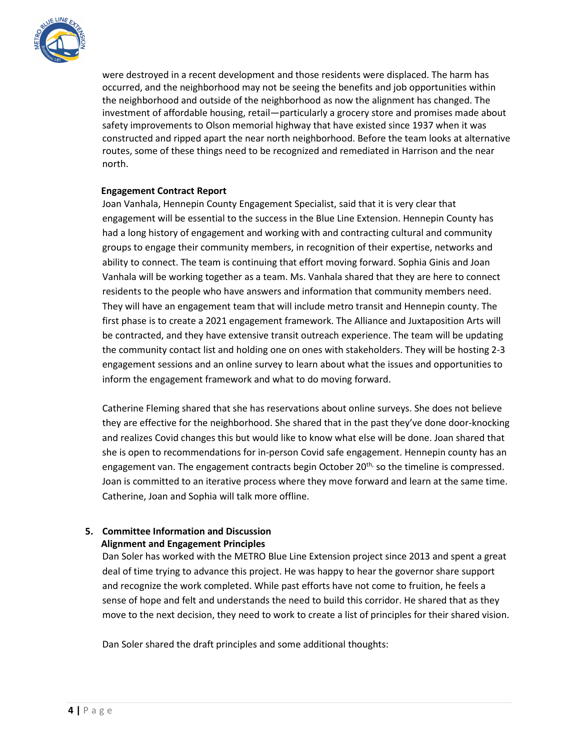

were destroyed in a recent development and those residents were displaced. The harm has occurred, and the neighborhood may not be seeing the benefits and job opportunities within the neighborhood and outside of the neighborhood as now the alignment has changed. The investment of affordable housing, retail—particularly a grocery store and promises made about safety improvements to Olson memorial highway that have existed since 1937 when it was constructed and ripped apart the near north neighborhood. Before the team looks at alternative routes, some of these things need to be recognized and remediated in Harrison and the near north.

# **Engagement Contract Report**

Joan Vanhala, Hennepin County Engagement Specialist, said that it is very clear that engagement will be essential to the success in the Blue Line Extension. Hennepin County has had a long history of engagement and working with and contracting cultural and community groups to engage their community members, in recognition of their expertise, networks and ability to connect. The team is continuing that effort moving forward. Sophia Ginis and Joan Vanhala will be working together as a team. Ms. Vanhala shared that they are here to connect residents to the people who have answers and information that community members need. They will have an engagement team that will include metro transit and Hennepin county. The first phase is to create a 2021 engagement framework. The Alliance and Juxtaposition Arts will be contracted, and they have extensive transit outreach experience. The team will be updating the community contact list and holding one on ones with stakeholders. They will be hosting 2-3 engagement sessions and an online survey to learn about what the issues and opportunities to inform the engagement framework and what to do moving forward.

Catherine Fleming shared that she has reservations about online surveys. She does not believe they are effective for the neighborhood. She shared that in the past they've done door-knocking and realizes Covid changes this but would like to know what else will be done. Joan shared that she is open to recommendations for in-person Covid safe engagement. Hennepin county has an engagement van. The engagement contracts begin October  $20<sup>th</sup>$ , so the timeline is compressed. Joan is committed to an iterative process where they move forward and learn at the same time. Catherine, Joan and Sophia will talk more offline.

# **5. Committee Information and Discussion Alignment and Engagement Principles**

Dan Soler has worked with the METRO Blue Line Extension project since 2013 and spent a great deal of time trying to advance this project. He was happy to hear the governor share support and recognize the work completed. While past efforts have not come to fruition, he feels a sense of hope and felt and understands the need to build this corridor. He shared that as they move to the next decision, they need to work to create a list of principles for their shared vision.

Dan Soler shared the draft principles and some additional thoughts: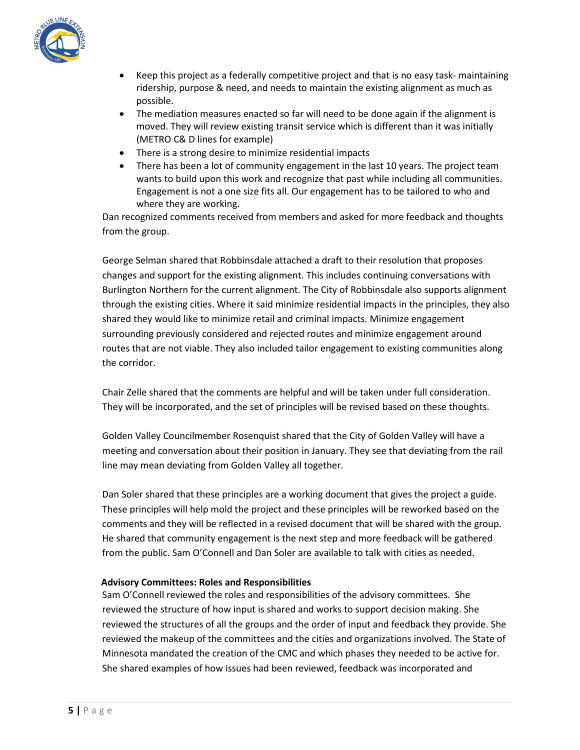

- Keep this project as a federally competitive project and that is no easy task- maintaining ridership, purpose & need, and needs to maintain the existing alignment as much as possible.
- The mediation measures enacted so far will need to be done again if the alignment is moved. They will review existing transit service which is different than it was initially (METRO C& D lines for example)
- There is a strong desire to minimize residential impacts
- There has been a lot of community engagement in the last 10 years. The project team wants to build upon this work and recognize that past while including all communities. Engagement is not a one size fits all. Our engagement has to be tailored to who and where they are working.

Dan recognized comments received from members and asked for more feedback and thoughts from the group.

George Selman shared that Robbinsdale attached a draft to their resolution that proposes changes and support for the existing alignment. This includes continuing conversations with Burlington Northern for the current alignment. The City of Robbinsdale also supports alignment through the existing cities. Where it said minimize residential impacts in the principles, they also shared they would like to minimize retail and criminal impacts. Minimize engagement surrounding previously considered and rejected routes and minimize engagement around routes that are not viable. They also included tailor engagement to existing communities along the corridor.

Chair Zelle shared that the comments are helpful and will be taken under full consideration. They will be incorporated, and the set of principles will be revised based on these thoughts.

Golden Valley Councilmember Rosenquist shared that the City of Golden Valley will have a meeting and conversation about their position in January. They see that deviating from the rail line may mean deviating from Golden Valley all together.

Dan Soler shared that these principles are a working document that gives the project a guide. These principles will help mold the project and these principles will be reworked based on the comments and they will be reflected in a revised document that will be shared with the group. He shared that community engagement is the next step and more feedback will be gathered from the public. Sam O'Connell and Dan Soler are available to talk with cities as needed.

# **Advisory Committees: Roles and Responsibilities**

Sam O'Connell reviewed the roles and responsibilities of the advisory committees. She reviewed the structure of how input is shared and works to support decision making. She reviewed the structures of all the groups and the order of input and feedback they provide. She reviewed the makeup of the committees and the cities and organizations involved. The State of Minnesota mandated the creation of the CMC and which phases they needed to be active for. She shared examples of how issues had been reviewed, feedback was incorporated and